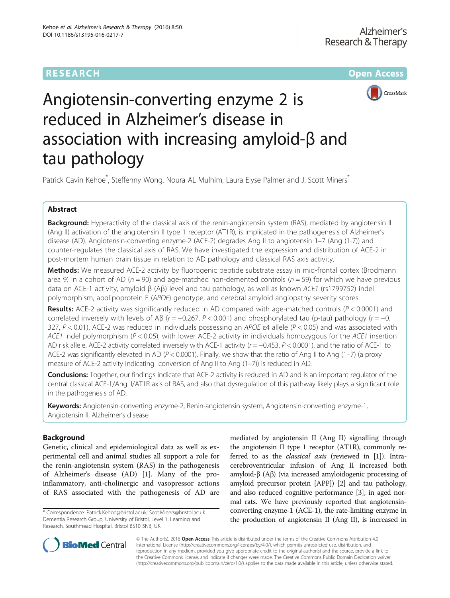## **RESEARCH CHE Open Access**



# Angiotensin-converting enzyme 2 is reduced in Alzheimer's disease in association with increasing amyloid-β and tau pathology

Patrick Gavin Kehoe<sup>\*</sup>, Steffenny Wong, Noura AL Mulhim, Laura Elyse Palmer and J. Scott Miners<sup>\*</sup>

#### Abstract

Background: Hyperactivity of the classical axis of the renin-angiotensin system (RAS), mediated by angiotensin II (Ang II) activation of the angiotensin II type 1 receptor (AT1R), is implicated in the pathogenesis of Alzheimer's disease (AD). Angiotensin-converting enzyme-2 (ACE-2) degrades Ang II to angiotensin 1–7 (Ang (1-7)) and counter-regulates the classical axis of RAS. We have investigated the expression and distribution of ACE-2 in post-mortem human brain tissue in relation to AD pathology and classical RAS axis activity.

**Methods:** We measured ACE-2 activity by fluorogenic peptide substrate assay in mid-frontal cortex (Brodmann area 9) in a cohort of AD ( $n = 90$ ) and age-matched non-demented controls ( $n = 59$ ) for which we have previous data on ACE-1 activity, amyloid β (Aβ) level and tau pathology, as well as known ACE1 (rs1799752) indel polymorphism, apolipoprotein E (APOE) genotype, and cerebral amyloid angiopathy severity scores.

**Results:** ACE-2 activity was significantly reduced in AD compared with age-matched controls ( $P < 0.0001$ ) and correlated inversely with levels of Aβ ( $r = -0.267$ ,  $P < 0.001$ ) and phosphorylated tau (p-tau) pathology ( $r = -0$ . 327,  $P < 0.01$ ). ACE-2 was reduced in individuals possessing an APOE  $\varepsilon$ 4 allele ( $P < 0.05$ ) and was associated with ACE1 indel polymorphism ( $P < 0.05$ ), with lower ACE-2 activity in individuals homozygous for the ACE1 insertion AD risk allele. ACE-2 activity correlated inversely with ACE-1 activity (r = −0.453, P < 0.0001), and the ratio of ACE-1 to ACE-2 was significantly elevated in AD ( $P < 0.0001$ ). Finally, we show that the ratio of Ang II to Ang (1–7) (a proxy measure of ACE-2 activity indicating conversion of Ang II to Ang (1–7)) is reduced in AD.

Conclusions: Together, our findings indicate that ACE-2 activity is reduced in AD and is an important regulator of the central classical ACE-1/Ang II/AT1R axis of RAS, and also that dysregulation of this pathway likely plays a significant role in the pathogenesis of AD.

Keywords: Angiotensin-converting enzyme-2, Renin-angiotensin system, Angiotensin-converting enzyme-1, Angiotensin II, Alzheimer's disease

#### Background

Genetic, clinical and epidemiological data as well as experimental cell and animal studies all support a role for the renin-angiotensin system (RAS) in the pathogenesis of Alzheimer's disease (AD) [[1](#page-8-0)]. Many of the proinflammatory, anti-cholinergic and vasopressor actions of RAS associated with the pathogenesis of AD are

mediated by angiotensin II (Ang II) signalling through the angiotensin II type 1 receptor (AT1R), commonly referred to as the *classical axis* (reviewed in [\[1](#page-8-0)]). Intracerebroventricular infusion of Ang II increased both amyloid-β (Aβ) (via increased amyloidogenic processing of amyloid precursor protein [APP]) [[2\]](#page-8-0) and tau pathology, and also reduced cognitive performance [\[3\]](#page-8-0), in aged normal rats. We have previously reported that angiotensinconverting enzyme-1 (ACE-1), the rate-limiting enzyme in the production of angiotensin II (Ang II), is increased in



© The Author(s). 2016 Open Access This article is distributed under the terms of the Creative Commons Attribution 4.0 International License [\(http://creativecommons.org/licenses/by/4.0/](http://creativecommons.org/licenses/by/4.0/)), which permits unrestricted use, distribution, and reproduction in any medium, provided you give appropriate credit to the original author(s) and the source, provide a link to the Creative Commons license, and indicate if changes were made. The Creative Commons Public Domain Dedication waiver [\(http://creativecommons.org/publicdomain/zero/1.0/](http://creativecommons.org/publicdomain/zero/1.0/)) applies to the data made available in this article, unless otherwise stated.

<sup>\*</sup> Correspondence: [Patrick.Kehoe@bristol.ac.uk](mailto:Patrick.Kehoe@bristol.ac.uk); [Scot.Miners@bristol.ac.uk](mailto:Scot.Miners@bristol.ac.uk) Dementia Research Group, University of Bristol, Level 1, Learning and Research, Southmead Hospital, Bristol BS10 5NB, UK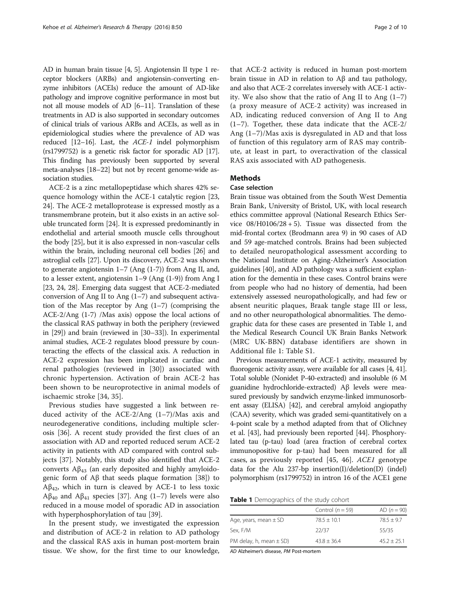AD in human brain tissue [[4, 5\]](#page-8-0). Angiotensin II type 1 receptor blockers (ARBs) and angiotensin-converting enzyme inhibitors (ACEIs) reduce the amount of AD-like pathology and improve cognitive performance in most but not all mouse models of AD [[6](#page-8-0)–[11\]](#page-8-0). Translation of these treatments in AD is also supported in secondary outcomes of clinical trials of various ARBs and ACEIs, as well as in epidemiological studies where the prevalence of AD was reduced [\[12](#page-8-0)–[16\]](#page-8-0). Last, the ACE-1 indel polymorphism (rs1799752) is a genetic risk factor for sporadic AD [[17](#page-8-0)]. This finding has previously been supported by several meta-analyses [\[18](#page-8-0)–[22\]](#page-8-0) but not by recent genome-wide association studies.

ACE-2 is a zinc metallopeptidase which shares 42% sequence homology within the ACE-1 catalytic region [[23](#page-8-0), [24\]](#page-8-0). The ACE-2 metalloprotease is expressed mostly as a transmembrane protein, but it also exists in an active soluble truncated form [\[24](#page-8-0)]. It is expressed predominantly in endothelial and arterial smooth muscle cells throughout the body [\[25](#page-8-0)], but it is also expressed in non-vascular cells within the brain, including neuronal cell bodies [\[26\]](#page-8-0) and astroglial cells [\[27\]](#page-8-0). Upon its discovery, ACE-2 was shown to generate angiotensin 1–7 (Ang (1-7)) from Ang II, and, to a lesser extent, angiotensin 1–9 (Ang (1-9)) from Ang I [[23](#page-8-0), [24, 28\]](#page-8-0). Emerging data suggest that ACE-2-mediated conversion of Ang II to Ang (1–7) and subsequent activation of the Mas receptor by Ang (1–7) (comprising the ACE-2/Ang (1-7) /Mas axis) oppose the local actions of the classical RAS pathway in both the periphery (reviewed in [\[29\]](#page-8-0)) and brain (reviewed in [\[30](#page-8-0)–[33\]](#page-8-0)). In experimental animal studies, ACE-2 regulates blood pressure by counteracting the effects of the classical axis. A reduction in ACE-2 expression has been implicated in cardiac and renal pathologies (reviewed in [\[30](#page-8-0)]) associated with chronic hypertension. Activation of brain ACE-2 has been shown to be neuroprotective in animal models of ischaemic stroke [\[34](#page-9-0), [35](#page-9-0)].

Previous studies have suggested a link between reduced activity of the ACE-2/Ang (1–7)/Mas axis and neurodegenerative conditions, including multiple sclerosis [\[36](#page-9-0)]. A recent study provided the first clues of an association with AD and reported reduced serum ACE-2 activity in patients with AD compared with control subjects [[37\]](#page-9-0). Notably, this study also identified that ACE-2 converts  $A\beta_{43}$  (an early deposited and highly amyloidogenic form of Aβ that seeds plaque formation [[38\]](#page-9-0)) to  $A\beta_{42}$ , which in turn is cleaved by ACE-1 to less toxic Aβ<sub>40</sub> and Aβ<sub>41</sub> species [[37](#page-9-0)]. Ang (1–7) levels were also reduced in a mouse model of sporadic AD in association with hyperphosphorylation of tau [[39\]](#page-9-0).

In the present study, we investigated the expression and distribution of ACE-2 in relation to AD pathology and the classical RAS axis in human post-mortem brain tissue. We show, for the first time to our knowledge,

that ACE-2 activity is reduced in human post-mortem brain tissue in AD in relation to Aβ and tau pathology, and also that ACE-2 correlates inversely with ACE-1 activity. We also show that the ratio of Ang II to Ang  $(1–7)$ (a proxy measure of ACE-2 activity) was increased in AD, indicating reduced conversion of Ang II to Ang (1–7). Together, these data indicate that the ACE-2/ Ang (1–7)/Mas axis is dysregulated in AD and that loss of function of this regulatory arm of RAS may contribute, at least in part, to overactivation of the classical RAS axis associated with AD pathogenesis.

#### Methods

#### Case selection

Brain tissue was obtained from the South West Dementia Brain Bank, University of Bristol, UK, with local research ethics committee approval (National Research Ethics Service  $08/H0106/28 + 5$ ). Tissue was dissected from the mid-frontal cortex (Brodmann area 9) in 90 cases of AD and 59 age-matched controls. Brains had been subjected to detailed neuropathological assessment according to the National Institute on Aging-Alzheimer's Association guidelines [[40](#page-9-0)], and AD pathology was a sufficient explanation for the dementia in these cases. Control brains were from people who had no history of dementia, had been extensively assessed neuropathologically, and had few or absent neuritic plaques, Braak tangle stage III or less, and no other neuropathological abnormalities. The demographic data for these cases are presented in Table 1, and the Medical Research Council UK Brain Banks Network (MRC UK-BBN) database identifiers are shown in Additional file [1](#page-7-0): Table S1.

Previous measurements of ACE-1 activity, measured by fluorogenic activity assay, were available for all cases [[4](#page-8-0), [41](#page-9-0)]. Total soluble (Nonidet P-40-extracted) and insoluble (6 M guanidine hydrochloride-extracted) Aβ levels were measured previously by sandwich enzyme-linked immunosorbent assay (ELISA) [[42](#page-9-0)], and cerebral amyloid angiopathy (CAA) severity, which was graded semi-quantitatively on a 4-point scale by a method adapted from that of Olichney et al. [[43](#page-9-0)], had previously been reported [\[44\]](#page-9-0). Phosphorylated tau (p-tau) load (area fraction of cerebral cortex immunopositive for p-tau) had been measured for all cases, as previously reported [\[45](#page-9-0), [46](#page-9-0)]. ACE1 genotype data for the Alu 237-bp insertion(I)/deletion(D) (indel) polymorphism (rs1799752) in intron 16 of the ACE1 gene

|  | Table 1 Demographics of the study cohort |  |  |  |
|--|------------------------------------------|--|--|--|
|--|------------------------------------------|--|--|--|

|                             | Control $(n = 59)$ | AD $(n = 90)$ |
|-----------------------------|--------------------|---------------|
| Age, years, mean $\pm$ SD   | $78.5 + 10.1$      | $78.5 + 9.7$  |
| Sex. F/M                    | 22/37              | 55/35         |
| PM delay, h, mean $\pm$ SD) | $43.8 + 36.4$      | $45.2 + 25.1$ |

AD Alzheimer's disease, PM Post-mortem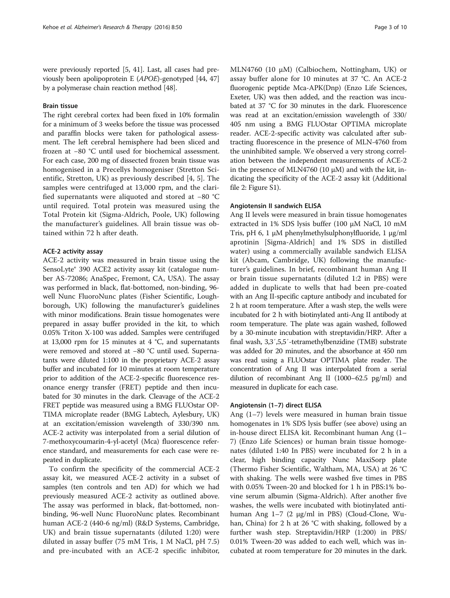were previously reported [\[5](#page-8-0), [41\]](#page-9-0). Last, all cases had previously been apolipoprotein E (APOE)-genotyped [[44](#page-9-0), [47](#page-9-0)] by a polymerase chain reaction method [[48](#page-9-0)].

#### Brain tissue

The right cerebral cortex had been fixed in 10% formalin for a minimum of 3 weeks before the tissue was processed and paraffin blocks were taken for pathological assessment. The left cerebral hemisphere had been sliced and frozen at −80 °C until used for biochemical assessment. For each case, 200 mg of dissected frozen brain tissue was homogenised in a Precellys homogeniser (Stretton Scientific, Stretton, UK) as previously described [\[4](#page-8-0), [5\]](#page-8-0). The samples were centrifuged at 13,000 rpm, and the clarified supernatants were aliquoted and stored at −80 °C until required. Total protein was measured using the Total Protein kit (Sigma-Aldrich, Poole, UK) following the manufacturer's guidelines. All brain tissue was obtained within 72 h after death.

#### ACE-2 activity assay

ACE-2 activity was measured in brain tissue using the SensoLyte® 390 ACE2 activity assay kit (catalogue number AS-72086; AnaSpec, Fremont, CA, USA). The assay was performed in black, flat-bottomed, non-binding, 96 well Nunc FluoroNunc plates (Fisher Scientific, Loughborough, UK) following the manufacturer's guidelines with minor modifications. Brain tissue homogenates were prepared in assay buffer provided in the kit, to which 0.05% Triton X-100 was added. Samples were centrifuged at 13,000 rpm for 15 minutes at 4 °C, and supernatants were removed and stored at −80 °C until used. Supernatants were diluted 1:100 in the proprietary ACE-2 assay buffer and incubated for 10 minutes at room temperature prior to addition of the ACE-2-specific fluorescence resonance energy transfer (FRET) peptide and then incubated for 30 minutes in the dark. Cleavage of the ACE-2 FRET peptide was measured using a BMG FLUOstar OP-TIMA microplate reader (BMG Labtech, Aylesbury, UK) at an excitation/emission wavelength of 330/390 nm. ACE-2 activity was interpolated from a serial dilution of 7-methoxycoumarin-4-yl-acetyl (Mca) fluorescence reference standard, and measurements for each case were repeated in duplicate.

To confirm the specificity of the commercial ACE-2 assay kit, we measured ACE-2 activity in a subset of samples (ten controls and ten AD) for which we had previously measured ACE-2 activity as outlined above. The assay was performed in black, flat-bottomed, nonbinding, 96-well Nunc FluoroNunc plates. Recombinant human ACE-2 (440-6 ng/ml) (R&D Systems, Cambridge, UK) and brain tissue supernatants (diluted 1:20) were diluted in assay buffer (75 mM Tris, 1 M NaCl, pH 7.5) and pre-incubated with an ACE-2 specific inhibitor,

MLN4760 (10 μM) (Calbiochem, Nottingham, UK) or assay buffer alone for 10 minutes at 37 °C. An ACE-2 fluorogenic peptide Mca-APK(Dnp) (Enzo Life Sciences, Exeter, UK) was then added, and the reaction was incubated at 37 °C for 30 minutes in the dark. Fluorescence was read at an excitation/emission wavelength of 330/ 405 nm using a BMG FLUOstar OPTIMA microplate reader. ACE-2-specific activity was calculated after subtracting fluorescence in the presence of MLN-4760 from the uninhibited sample. We observed a very strong correlation between the independent measurements of ACE-2 in the presence of MLN4760 (10  $\mu$ M) and with the kit, indicating the specificity of the ACE-2 assay kit (Additional file [2](#page-7-0): Figure S1).

#### Angiotensin II sandwich ELISA

Ang II levels were measured in brain tissue homogenates extracted in 1% SDS lysis buffer (100 μM NaCl, 10 mM Tris, pH 6, 1 μM phenylmethylsulphonylfluoride, 1 μg/ml aprotinin [Sigma-Aldrich] and 1% SDS in distilled water) using a commercially available sandwich ELISA kit (Abcam, Cambridge, UK) following the manufacturer's guidelines. In brief, recombinant human Ang II or brain tissue supernatants (diluted 1:2 in PBS) were added in duplicate to wells that had been pre-coated with an Ang II-specific capture antibody and incubated for 2 h at room temperature. After a wash step, the wells were incubated for 2 h with biotinylated anti-Ang II antibody at room temperature. The plate was again washed, followed by a 30-minute incubation with streptavidin/HRP. After a final wash, 3,3′,5,5′-tetramethylbenzidine (TMB) substrate was added for 20 minutes, and the absorbance at 450 nm was read using a FLUOstar OPTIMA plate reader. The concentration of Ang II was interpolated from a serial dilution of recombinant Ang II (1000–62.5 pg/ml) and measured in duplicate for each case.

#### Angiotensin (1–7) direct ELISA

Ang (1–7) levels were measured in human brain tissue homogenates in 1% SDS lysis buffer (see above) using an in-house direct ELISA kit. Recombinant human Ang (1– 7) (Enzo Life Sciences) or human brain tissue homogenates (diluted 1:40 In PBS) were incubated for 2 h in a clear, high binding capacity Nunc MaxiSorp plate (Thermo Fisher Scientific, Waltham, MA, USA) at 26 °C with shaking. The wells were washed five times in PBS with 0.05% Tween-20 and blocked for 1 h in PBS:1% bovine serum albumin (Sigma-Aldrich). After another five washes, the wells were incubated with biotinylated antihuman Ang 1–7 (2 μg/ml in PBS) (Cloud-Clone, Wuhan, China) for 2 h at 26 °C with shaking, followed by a further wash step. Streptavidin/HRP (1:200) in PBS/ 0.01% Tween-20 was added to each well, which was incubated at room temperature for 20 minutes in the dark.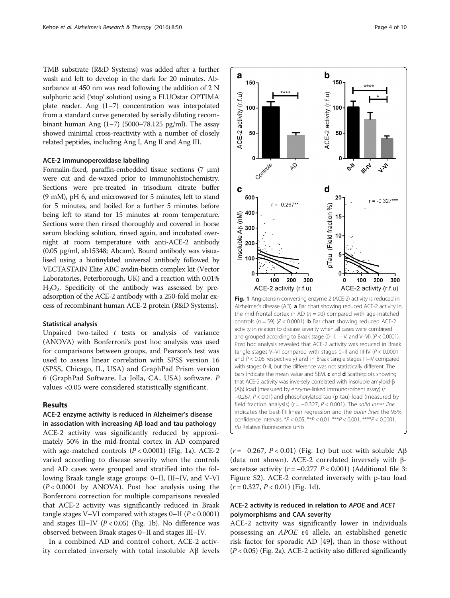TMB substrate (R&D Systems) was added after a further wash and left to develop in the dark for 20 minutes. Absorbance at 450 nm was read following the addition of 2 N sulphuric acid ('stop' solution) using a FLUOstar OPTIMA plate reader. Ang (1–7) concentration was interpolated from a standard curve generated by serially diluting recombinant human Ang  $(1-7)$  (5000-78.125 pg/ml). The assay showed minimal cross-reactivity with a number of closely related peptides, including Ang I, Ang II and Ang III.

#### ACE-2 immunoperoxidase labelling

Formalin-fixed, paraffin-embedded tissue sections (7 μm) were cut and de-waxed prior to immunohistochemistry. Sections were pre-treated in trisodium citrate buffer (9 mM), pH 6, and microwaved for 5 minutes, left to stand for 5 minutes, and boiled for a further 5 minutes before being left to stand for 15 minutes at room temperature. Sections were then rinsed thoroughly and covered in horse serum blocking solution, rinsed again, and incubated overnight at room temperature with anti-ACE-2 antibody (0.05 μg/ml, ab15348; Abcam). Bound antibody was visualised using a biotinylated universal antibody followed by VECTASTAIN Elite ABC avidin-biotin complex kit (Vector Laboratories, Peterborough, UK) and a reaction with 0.01%  $H<sub>2</sub>O<sub>2</sub>$ . Specificity of the antibody was assessed by preadsorption of the ACE-2 antibody with a 250-fold molar excess of recombinant human ACE-2 protein (R&D Systems).

#### Statistical analysis

Unpaired two-tailed  $t$  tests or analysis of variance (ANOVA) with Bonferroni's post hoc analysis was used for comparisons between groups, and Pearson's test was used to assess linear correlation with SPSS version 16 (SPSS, Chicago, IL, USA) and GraphPad Prism version 6 (GraphPad Software, La Jolla, CA, USA) software. P values <0.05 were considered statistically significant.

#### Results

### ACE-2 enzyme activity is reduced in Alzheimer's disease

in association with increasing Aβ load and tau pathology ACE-2 activity was significantly reduced by approximately 50% in the mid-frontal cortex in AD compared with age-matched controls  $(P < 0.0001)$  (Fig. 1a). ACE-2 varied according to disease severity when the controls and AD cases were grouped and stratified into the following Braak tangle stage groups: 0–II, III–IV, and V-VI  $(P < 0.0001$  by ANOVA). Post hoc analysis using the Bonferroni correction for multiple comparisons revealed that ACE-2 activity was significantly reduced in Braak tangle stages V–VI compared with stages 0–II ( $P < 0.0001$ ) and stages III–IV  $(P < 0.05)$  (Fig. 1b). No difference was observed between Braak stages 0–II and stages III–IV.

In a combined AD and control cohort, ACE-2 activity correlated inversely with total insoluble Aβ levels



 $\mathbf b$ 

ACE-2 activity (r.f.u)

150

100

50

a  $150<sub>1</sub>$ 

ACE-2 activity (r.f.u)

100

50

 $(r = -0.267, P < 0.01)$  (Fig. 1c) but not with soluble A $\beta$ (data not shown). ACE-2 correlated inversely with βsecretase activity ( $r = -0.277$   $P < 0.001$ ) (Additional file [3](#page-7-0): Figure S2). ACE-2 correlated inversely with p-tau load  $(r = 0.327, P < 0.01)$  (Fig. 1d).

#### ACE-2 activity is reduced in relation to APOE and ACE1 polymorphisms and CAA severity

ACE-2 activity was significantly lower in individuals possessing an APOE ε4 allele, an established genetic risk factor for sporadic AD [\[49](#page-9-0)], than in those without  $(P < 0.05)$  (Fig. [2a\)](#page-4-0). ACE-2 activity also differed significantly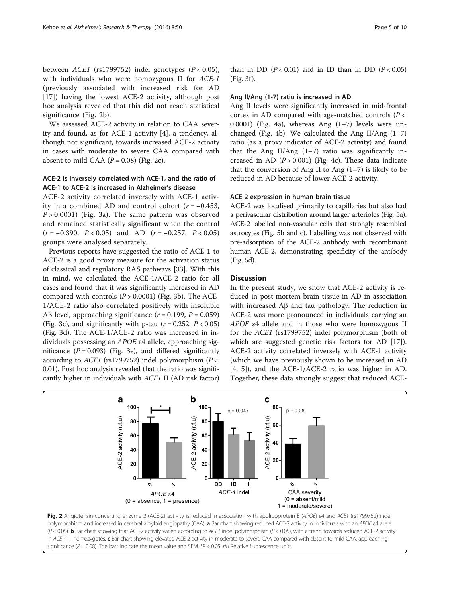<span id="page-4-0"></span>between  $ACE1$  (rs1799752) indel genotypes ( $P < 0.05$ ), with individuals who were homozygous II for ACE-1 (previously associated with increased risk for AD [[17\]](#page-8-0)) having the lowest ACE-2 activity, although post hoc analysis revealed that this did not reach statistical significance (Fig. 2b).

We assessed ACE-2 activity in relation to CAA severity and found, as for ACE-1 activity [[4\]](#page-8-0), a tendency, although not significant, towards increased ACE-2 activity in cases with moderate to severe CAA compared with absent to mild CAA  $(P = 0.08)$  (Fig. 2c).

#### ACE-2 is inversely correlated with ACE-1, and the ratio of ACE-1 to ACE-2 is increased in Alzheimer's disease

ACE-2 activity correlated inversely with ACE-1 activity in a combined AD and control cohort  $(r = -0.453,$  $P > 0.0001$ ) (Fig. [3a](#page-5-0)). The same pattern was observed and remained statistically significant when the control  $(r = -0.390, P < 0.05)$  and AD  $(r = -0.257, P < 0.05)$ groups were analysed separately.

Previous reports have suggested the ratio of ACE-1 to ACE-2 is a good proxy measure for the activation status of classical and regulatory RAS pathways [[33\]](#page-8-0). With this in mind, we calculated the ACE-1/ACE-2 ratio for all cases and found that it was significantly increased in AD compared with controls  $(P > 0.0001)$  (Fig. [3b\)](#page-5-0). The ACE-1/ACE-2 ratio also correlated positively with insoluble Aβ level, approaching significance ( $r = 0.199$ ,  $P = 0.059$ ) (Fig. [3c\)](#page-5-0), and significantly with p-tau  $(r = 0.252, P < 0.05)$ (Fig. [3d\)](#page-5-0). The ACE-1/ACE-2 ratio was increased in individuals possessing an APOE ε4 allele, approaching significance  $(P = 0.093)$  (Fig. [3e\)](#page-5-0), and differed significantly according to  $ACE1$  (rs1799752) indel polymorphism ( $P <$ 0.01). Post hoc analysis revealed that the ratio was significantly higher in individuals with ACE1 II (AD risk factor) than in DD  $(P < 0.01)$  and in ID than in DD  $(P < 0.05)$ (Fig. [3f](#page-5-0)).

#### Ang II/Ang (1-7) ratio is increased in AD

Ang II levels were significantly increased in mid-frontal cortex in AD compared with age-matched controls ( $P \lt \mathbb{R}$ 0.0001) (Fig. [4a](#page-5-0)), whereas Ang (1–7) levels were un-changed (Fig. [4b](#page-5-0)). We calculated the Ang II/Ang  $(1-7)$ ratio (as a proxy indicator of ACE-2 activity) and found that the Ang II/Ang  $(1-7)$  ratio was significantly increased in AD  $(P > 0.001)$  (Fig. [4c](#page-5-0)). These data indicate that the conversion of Ang II to Ang  $(1-7)$  is likely to be reduced in AD because of lower ACE-2 activity.

#### ACE-2 expression in human brain tissue

ACE-2 was localised primarily to capillaries but also had a perivascular distribution around larger arterioles (Fig. [5a](#page-6-0)). ACE-2 labelled non-vascular cells that strongly resembled astrocytes (Fig. [5b and c](#page-6-0)). Labelling was not observed with pre-adsorption of the ACE-2 antibody with recombinant human ACE-2, demonstrating specificity of the antibody (Fig. [5d\)](#page-6-0).

#### **Discussion**

In the present study, we show that ACE-2 activity is reduced in post-mortem brain tissue in AD in association with increased Aβ and tau pathology. The reduction in ACE-2 was more pronounced in individuals carrying an APOE ε4 allele and in those who were homozygous II for the ACE1 (rs1799752) indel polymorphism (both of which are suggested genetic risk factors for AD [\[17](#page-8-0)]). ACE-2 activity correlated inversely with ACE-1 activity (which we have previously shown to be increased in AD [[4, 5](#page-8-0)]), and the ACE-1/ACE-2 ratio was higher in AD. Together, these data strongly suggest that reduced ACE-



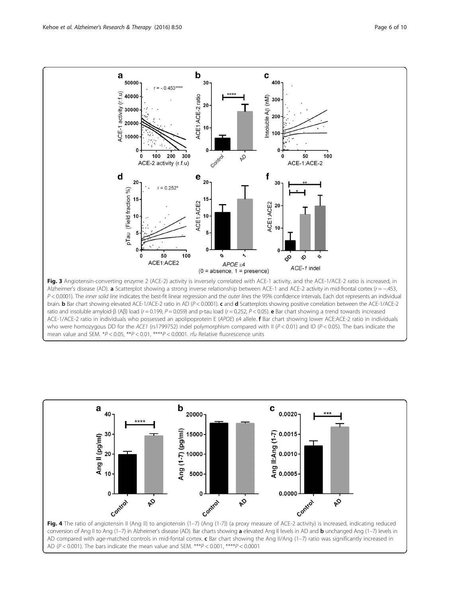<span id="page-5-0"></span>

P < 0.0001). The inner solid line indicates the best-fit linear regression and the outer lines the 95% confidence intervals. Each dot represents an individual brain. **b** Bar chart showing elevated ACE-1/ACE-2 ratio in AD (P < 0.0001). **c** and **d** Scatterplots showing positive correlation between the ACE-1/ACE-2 ratio and insoluble amyloid-β (Aβ) load (r = 0.199, P = 0.059) and p-tau load (r = 0.252, P < 0.05). e Bar chart showing a trend towards increased ACE-1/ACE-2 ratio in individuals who possessed an apolipoprotein E (APOE) ε4 allele. f Bar chart showing lower ACE:ACE-2 ratio in individuals who were homozygous DD for the ACE1 (rs1799752) indel polymorphism compared with II ( $P < 0.01$ ) and ID ( $P < 0.05$ ). The bars indicate the mean value and SEM.  $*P < 0.05$ ,  $*P < 0.01$ ,  $****P < 0.0001$ . rfu Relative fluorescence units



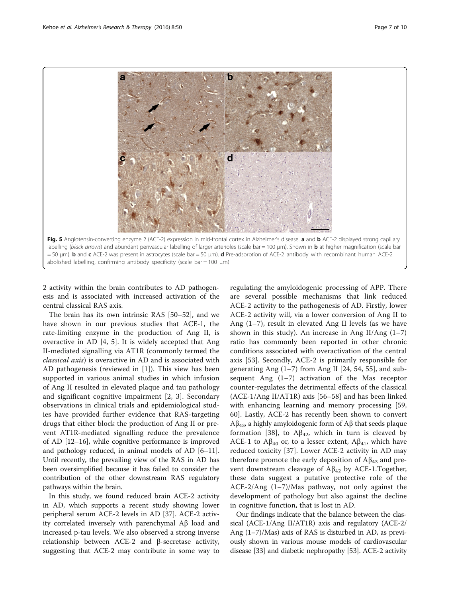<span id="page-6-0"></span>

2 activity within the brain contributes to AD pathogenesis and is associated with increased activation of the central classical RAS axis.

The brain has its own intrinsic RAS [\[50](#page-9-0)–[52](#page-9-0)], and we have shown in our previous studies that ACE-1, the rate-limiting enzyme in the production of Ang II, is overactive in AD [[4, 5](#page-8-0)]. It is widely accepted that Ang II-mediated signalling via AT1R (commonly termed the classical axis) is overactive in AD and is associated with AD pathogenesis (reviewed in [[1](#page-8-0)]). This view has been supported in various animal studies in which infusion of Ang II resulted in elevated plaque and tau pathology and significant cognitive impairment [\[2](#page-8-0), [3\]](#page-8-0). Secondary observations in clinical trials and epidemiological studies have provided further evidence that RAS-targeting drugs that either block the production of Ang II or prevent AT1R-mediated signalling reduce the prevalence of AD [\[12](#page-8-0)–[16](#page-8-0)], while cognitive performance is improved and pathology reduced, in animal models of AD [\[6](#page-8-0)–[11](#page-8-0)]. Until recently, the prevailing view of the RAS in AD has been oversimplified because it has failed to consider the contribution of the other downstream RAS regulatory pathways within the brain.

In this study, we found reduced brain ACE-2 activity in AD, which supports a recent study showing lower peripheral serum ACE-2 levels in AD [[37](#page-9-0)]. ACE-2 activity correlated inversely with parenchymal Aβ load and increased p-tau levels. We also observed a strong inverse relationship between ACE-2 and β-secretase activity, suggesting that ACE-2 may contribute in some way to

regulating the amyloidogenic processing of APP. There are several possible mechanisms that link reduced ACE-2 activity to the pathogenesis of AD. Firstly, lower ACE-2 activity will, via a lower conversion of Ang II to Ang (1–7), result in elevated Ang II levels (as we have shown in this study). An increase in Ang II/Ang  $(1-7)$ ratio has commonly been reported in other chronic conditions associated with overactivation of the central axis [[53](#page-9-0)]. Secondly, ACE-2 is primarily responsible for generating Ang  $(1-7)$  from Ang II [\[24,](#page-8-0) [54, 55\]](#page-9-0), and subsequent Ang (1–7) activation of the Mas receptor counter-regulates the detrimental effects of the classical (ACE-1/Ang II/AT1R) axis [[56](#page-9-0)–[58](#page-9-0)] and has been linked with enhancing learning and memory processing [\[59](#page-9-0), [60\]](#page-9-0). Lastly, ACE-2 has recently been shown to convert  $Aβ<sub>43</sub>$ , a highly amyloidogenic form of  $Aβ$  that seeds plaque formation [\[38](#page-9-0)], to  $A\beta_{42}$ , which in turn is cleaved by ACE-1 to  $A\beta_{40}$  or, to a lesser extent,  $A\beta_{41}$ , which have reduced toxicity [[37\]](#page-9-0). Lower ACE-2 activity in AD may therefore promote the early deposition of  $A\beta_{43}$  and prevent downstream cleavage of  $Aβ<sub>42</sub>$  by ACE-1.Together, these data suggest a putative protective role of the ACE-2/Ang (1–7)/Mas pathway, not only against the development of pathology but also against the decline in cognitive function, that is lost in AD.

Our findings indicate that the balance between the classical (ACE-1/Ang II/AT1R) axis and regulatory (ACE-2/ Ang (1–7)/Mas) axis of RAS is disturbed in AD, as previously shown in various mouse models of cardiovascular disease [[33](#page-8-0)] and diabetic nephropathy [[53](#page-9-0)]. ACE-2 activity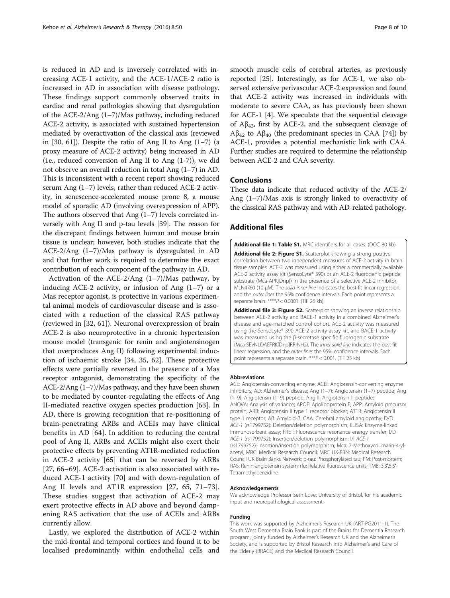<span id="page-7-0"></span>is reduced in AD and is inversely correlated with increasing ACE-1 activity, and the ACE-1/ACE-2 ratio is increased in AD in association with disease pathology. These findings support commonly observed traits in cardiac and renal pathologies showing that dysregulation of the ACE-2/Ang (1–7)/Mas pathway, including reduced ACE-2 activity, is associated with sustained hypertension mediated by overactivation of the classical axis (reviewed in  $[30, 61]$  $[30, 61]$  $[30, 61]$ ). Despite the ratio of Ang II to Ang  $(1-7)$  (a proxy measure of ACE-2 activity) being increased in AD (i.e., reduced conversion of Ang II to Ang (1-7)), we did not observe an overall reduction in total Ang (1–7) in AD. This is inconsistent with a recent report showing reduced serum Ang (1–7) levels, rather than reduced ACE-2 activity, in senescence-accelerated mouse prone 8, a mouse model of sporadic AD (involving overexpression of APP). The authors observed that Ang  $(1–7)$  levels correlated inversely with Ang II and p-tau levels [\[39\]](#page-9-0). The reason for the discrepant findings between human and mouse brain tissue is unclear; however, both studies indicate that the ACE-2/Ang (1–7)/Mas pathway is dysregulated in AD and that further work is required to determine the exact contribution of each component of the pathway in AD.

Activation of the ACE-2/Ang  $(1–7)/$ Mas pathway, by inducing ACE-2 activity, or infusion of Ang  $(1-7)$  or a Mas receptor agonist, is protective in various experimental animal models of cardiovascular disease and is associated with a reduction of the classical RAS pathway (reviewed in [[32](#page-8-0), [61](#page-9-0)]). Neuronal overexpression of brain ACE-2 is also neuroprotective in a chronic hypertension mouse model (transgenic for renin and angiotensinogen that overproduces Ang II) following experimental induction of ischaemic stroke [[34, 35](#page-9-0), [62](#page-9-0)]. These protective effects were partially reversed in the presence of a Mas receptor antagonist, demonstrating the specificity of the ACE-2/Ang (1–7)/Mas pathway, and they have been shown to be mediated by counter-regulating the effects of Ang II-mediated reactive oxygen species production [[63\]](#page-9-0). In AD, there is growing recognition that re-positioning of brain-penetrating ARBs and ACEIs may have clinical benefits in AD [[64](#page-9-0)]. In addition to reducing the central pool of Ang II, ARBs and ACEIs might also exert their protective effects by preventing AT1R-mediated reduction in ACE-2 activity [\[65](#page-9-0)] that can be reversed by ARBs [[27,](#page-8-0) [66](#page-9-0)–[69](#page-9-0)]. ACE-2 activation is also associated with reduced ACE-1 activity [\[70](#page-9-0)] and with down-regulation of Ang II levels and AT1R expression [[27,](#page-8-0) [65](#page-9-0), [71](#page-9-0)–[73](#page-9-0)]. These studies suggest that activation of ACE-2 may exert protective effects in AD above and beyond dampening RAS activation that the use of ACEIs and ARBs currently allow.

Lastly, we explored the distribution of ACE-2 within the mid-frontal and temporal cortices and found it to be localised predominantly within endothelial cells and smooth muscle cells of cerebral arteries, as previously reported [\[25\]](#page-8-0). Interestingly, as for ACE-1, we also observed extensive perivascular ACE-2 expression and found that ACE-2 activity was increased in individuals with moderate to severe CAA, as has previously been shown for ACE-1 [[4](#page-8-0)]. We speculate that the sequential cleavage of  $A\beta_{43}$ , first by ACE-2, and the subsequent cleavage of  $A\beta_{42}$  to  $A\beta_{40}$  (the predominant species in CAA [\[74](#page-9-0)]) by ACE-1, provides a potential mechanistic link with CAA. Further studies are required to determine the relationship between ACE-2 and CAA severity.

#### Conclusions

These data indicate that reduced activity of the ACE-2/ Ang (1–7)/Mas axis is strongly linked to overactivity of the classical RAS pathway and with AD-related pathology.

#### Additional files

[Additional file 1: Table S1.](dx.doi.org/10.1186/s13195-016-0217-7) MRC identifiers for all cases. (DOC 80 kb) [Additional file 2: Figure S1.](dx.doi.org/10.1186/s13195-016-0217-7) Scatterplot showing a strong positive correlation between two independent measures of ACE-2 activity in brain tissue samples. ACE-2 was measured using either a commercially available ACE-2 activity assay kit (SensoLyte® 390) or an ACE-2 fluorogenic peptide substrate (Mca-APK[Dnp]) in the presence of a selective ACE-2 inhibitor, MLN4760 (10 μM). The solid inner line indicates the best-fit linear regression, and the outer lines the 95% confidence intervals. Each point represents a separate brain. \*\*\*\*P < 0.0001. (TIF 26 kb)

[Additional file 3: Figure S2.](dx.doi.org/10.1186/s13195-016-0217-7) Scatterplot showing an inverse relationship between ACE-2 activity and BACE-1 activity in a combined Alzheimer's disease and age-matched control cohort. ACE-2 activity was measured using the SensoLyte® 390 ACE-2 activity assay kit, and BACE-1 activity was measured using the β-secretase specific fluorogenic substrate (Mca-SEVNLDAEFRK[Dnp]RR-NH2). The inner solid line indicates the best-fit linear regression, and the outer lines the 95% confidence intervals. Each point represents a separate brain. \*\*\*P < 0.001. (TIF 25 kb)

#### Abbreviations

ACE: Angiotensin-converting enzyme; ACEI: Angiotensin-converting enzyme inhibitors; AD: Alzheimer's disease; Ang (1–7): Angiotensin (1–7) peptide; Ang (1–9): Angiotensin (1–9) peptide; Ang II: Angiotensin II peptide; ANOVA: Analysis of variance; APOE: Apolipoprotein E; APP: Amyloid precursor protein; ARB: Angiotensin II type 1 receptor blocker; AT1R: Angiotensin II type 1 receptor; Aβ: Amyloid-β; CAA: Cerebral amyloid angiopathy; D/D ACE-1 (rs1799752): Deletion/deletion polymorphism; ELISA: Enzyme-linked immunosorbent assay; FRET: Fluorescence resonance energy transfer; I/D ACE-1 (rs1799752): Insertion/deletion polymorphism; I/I ACE-1 (rs1799752): Insertion/insertion polymorphism; Mca: 7-Methoxycoumarin-4-ylacetyl; MRC: Medical Research Council; MRC UK-BBN: Medical Research Council UK Brain Banks Network; p-tau: Phosphorylated tau; PM: Post-mortem; RAS: Renin-angiotensin system; rfu: Relative fluorescence units; TMB: 3,3′,5,5′- Tetramethylbenzidine

#### Acknowledgements

We acknowledge Professor Seth Love, University of Bristol, for his academic input and neuropathological assessment.

#### Funding

This work was supported by Alzheimer's Research UK (ART-PG2011-1). The South West Dementia Brain Bank is part of the Brains for Dementia Research program, jointly funded by Alzheimer's Research UK and the Alzheimer's Society, and is supported by Bristol Research into Alzheimer's and Care of the Elderly (BRACE) and the Medical Research Council.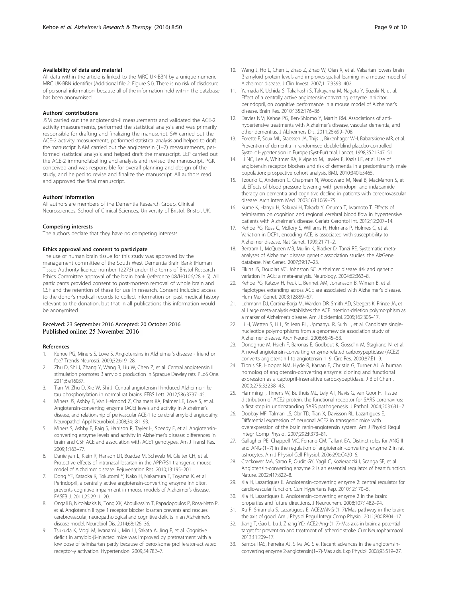#### <span id="page-8-0"></span>Availability of data and material

All data within the article is linked to the MRC UK-BBN by a unique numeric MRC UK-BBN identifier (Additional file [2:](#page-7-0) Figure S1). There is no risk of disclosure of personal information, because all of the information held within the database has been anonymised.

#### Authors' contributions

JSM carried out the angiotensin-II measurements and validated the ACE-2 activity measurements, performed the statistical analysis and was primarily responsible for drafting and finalizing the manuscript. SW carried out the ACE-2 activity measurements, performed statistical analysis and helped to draft the manuscript. NAM carried out the angiotensin (1–7) measurements, performed statistical analysis and helped draft the manuscript. LEP carried out the ACE-2 immunolabelling and analysis and revised the manuscript. PGK conceived and was responsible for overall planning and design of the study, and helped to revise and finalize the manuscript. All authors read and approved the final manuscript.

#### Authors' information

All authors are members of the Dementia Research Group, Clinical Neurosciences, School of Clinical Sciences, University of Bristol, Bristol, UK.

#### Competing interests

The authors declare that they have no competing interests.

#### Ethics approval and consent to participate

The use of human brain tissue for this study was approved by the management committee of the South West Dementia Brain Bank (Human Tissue Authority licence number 12273) under the terms of Bristol Research Ethics Committee approval of the brain bank (reference 08/H0106/28 + 5). All participants provided consent to post-mortem removal of whole brain and CSF and the retention of these for use in research. Consent included access to the donor's medical records to collect information on past medical history relevant to the donation, but that in all publications this information would be anonymised.

#### Received: 23 September 2016 Accepted: 20 October 2016 Published online: 25 November 2016

#### References

- 1. Kehoe PG, Miners S, Love S. Angiotensins in Alzheimer's disease friend or foe? Trends Neurosci. 2009;32:619–28.
- 2. Zhu D, Shi J, Zhang Y, Wang B, Liu W, Chen Z, et al. Central angiotensin II stimulation promotes β amyloid production in Sprague Dawley rats. PLoS One. 2011;6:e16037.
- Tian M, Zhu D, Xie W, Shi J. Central angiotensin II-induced Alzheimer-like tau phosphorylation in normal rat brains. FEBS Lett. 2012;586:3737–45.
- 4. Miners JS, Ashby E, Van Helmond Z, Chalmers KA, Palmer LE, Love S, et al. Angiotensin-converting enzyme (ACE) levels and activity in Alzheimer's disease, and relationship of perivascular ACE-1 to cerebral amyloid angiopathy. Neuropathol Appl Neurobiol. 2008;34:181–93.
- Miners S, Ashby E, Baig S, Harrison R, Tayler H, Speedy E, et al. Angiotensinconverting enzyme levels and activity in Alzheimer's disease: differences in brain and CSF ACE and association with ACE1 genotypes. Am J Transl Res. 2009;1:163–77.
- 6. Danielyan L, Klein R, Hanson LR, Buadze M, Schwab M, Gleiter CH, et al. Protective effects of intranasal losartan in the APP/PS1 transgenic mouse model of Alzheimer disease. Rejuvenation Res. 2010;13:195–201.
- 7. Dong YF, Kataoka K, Tokutomi Y, Nako H, Nakamura T, Toyama K, et al. Perindopril, a centrally active angiotensin-converting enzyme inhibitor, prevents cognitive impairment in mouse models of Alzheimer's disease. FASEB J. 2011;25:2911–20.
- 8. Ongali B, Nicolakakis N, Tong XK, Aboulkassim T, Papadopoulos P, Rosa-Neto P, et al. Angiotensin II type 1 receptor blocker losartan prevents and rescues cerebrovascular, neuropathological and cognitive deficits in an Alzheimer's disease model. Neurobiol Dis. 2014;68:126–36.
- Tsukuda K, Mogi M, Iwanami J, Min LJ, Sakata A, Jing F, et al. Cognitive deficit in amyloid-β-injected mice was improved by pretreatment with a low dose of telmisartan partly because of peroxisome proliferator-activated receptor-γ activation. Hypertension. 2009;54:782–7.
- 10. Wang J, Ho L, Chen L, Zhao Z, Zhao W, Qian X, et al. Valsartan lowers brain β-amyloid protein levels and improves spatial learning in a mouse model of Alzheimer disease. J Clin Invest. 2007;117:3393–402.
- 11. Yamada K, Uchida S, Takahashi S, Takayama M, Nagata Y, Suzuki N, et al. Effect of a centrally active angiotensin-converting enzyme inhibitor, perindopril, on cognitive performance in a mouse model of Alzheimer's disease. Brain Res. 2010;1352:176–86.
- 12. Davies NM, Kehoe PG, Ben-Shlomo Y, Martin RM. Associations of antihypertensive treatments with Alzheimer's disease, vascular dementia, and other dementias. J Alzheimers Dis. 2011;26:699–708.
- 13. Forette F, Seux ML, Staessen JA, Thijs L, Birkenhager WH, Babarskiene MR, et al. Prevention of dementia in randomised double-blind placebo-controlled Systolic Hypertension in Europe (Syst-Eur) trial. Lancet. 1998;352:1347–51.
- 14. Li NC, Lee A, Whitmer RA, Kivipelto M, Lawler E, Kazis LE, et al. Use of angiotensin receptor blockers and risk of dementia in a predominantly male population: prospective cohort analysis. BMJ. 2010;340:b5465.
- 15. Tzourio C, Anderson C, Chapman N, Woodward M, Neal B, MacMahon S, et al. Effects of blood pressure lowering with perindopril and indapamide therapy on dementia and cognitive decline in patients with cerebrovascular disease. Arch Intern Med. 2003;163:1069–75.
- 16. Kume K, Hanyu H, Sakurai H, Takada Y, Onuma T, Iwamoto T. Effects of telmisartan on cognition and regional cerebral blood flow in hypertensive patients with Alzheimer's disease. Geriatr Gerontol Int. 2012;12:207–14.
- 17. Kehoe PG, Russ C, McIlory S, Williams H, Holmans P, Holmes C, et al. Variation in DCP1, encoding ACE, is associated with susceptibility to Alzheimer disease. Nat Genet. 1999;21:71–2.
- 18. Bertram L, McQueen MB, Mullin K, Blacker D, Tanzi RE. Systematic metaanalyses of Alzheimer disease genetic association studies: the AlzGene database. Nat Genet. 2007;39:17–23.
- 19. Elkins JS, Douglas VC, Johnston SC. Alzheimer disease risk and genetic variation in ACE: a meta-analysis. Neurology. 2004;62:363–8.
- 20. Kehoe PG, Katzov H, Feuk L, Bennet AM, Johansson B, Wiman B, et al. Haplotypes extending across ACE are associated with Alzheimer's disease. Hum Mol Genet. 2003;12:859–67.
- 21. Lehmann DJ, Cortina-Borja M, Warden DR, Smith AD, Sleegers K, Prince JA, et al. Large meta-analysis establishes the ACE insertion-deletion polymorphism as a marker of Alzheimer's disease. Am J Epidemiol. 2005;162:305–17.
- 22. Li H, Wetten S, Li L, St Jean PL, Upmanyu R, Surh L, et al. Candidate singlenucleotide polymorphisms from a genomewide association study of Alzheimer disease. Arch Neurol. 2008;65:45–53.
- 23. Donoghue M, Hsieh F, Baronas E, Godbout K, Gosselin M, Stagliano N, et al. A novel angiotensin-converting enzyme-related carboxypeptidase (ACE2) converts angiotensin I to angiotensin 1–9. Circ Res. 2000;87:E1–9.
- 24. Tipnis SR, Hooper NM, Hyde R, Karran E, Christie G, Turner AJ. A human homolog of angiotensin-converting enzyme: cloning and functional expression as a captopril-insensitive carboxypeptidase. J Biol Chem. 2000;275:33238–43.
- 25. Hamming I, Timens W, Bulthuis ML, Lely AT, Navis G, van Goor H. Tissue distribution of ACE2 protein, the functional receptor for SARS coronavirus: a first step in understanding SARS pathogenesis. J Pathol. 2004;203:631–7.
- 26. Doobay MF, Talman LS, Obr TD, Tian X, Davisson RL, Lazartigues E. Differential expression of neuronal ACE2 in transgenic mice with overexpression of the brain renin-angiotensin system. Am J Physiol Regul Integr Comp Physiol. 2007;292:R373–81.
- 27. Gallagher PE, Chappell MC, Ferrario CM, Tallant EA. Distinct roles for ANG II and ANG-(1–7) in the regulation of angiotensin-converting enzyme 2 in rat astrocytes. Am J Physiol Cell Physiol. 2006;290:C420–6.
- 28. Crackower MA, Sarao R, Oudit GY, Yagil C, Kozieradzki I, Scanga SE, et al. Angiotensin-converting enzyme 2 is an essential regulator of heart function. Nature. 2002;417:822–8.
- 29. Xia H, Lazartigues E. Angiotensin-converting enzyme 2: central regulator for cardiovascular function. Curr Hypertens Rep. 2010;12:170–5.
- 30. Xia H, Lazartigues E. Angiotensin-converting enzyme 2 in the brain: properties and future directions. J Neurochem. 2008;107:1482–94.
- 31. Xu P, Sriramula S, Lazartigues E. ACE2/ANG-(1–7)/Mas pathway in the brain: the axis of good. Am J Physiol Regul Integr Comp Physiol. 2011;300:R804–17.
- 32. Jiang T, Gao L, Lu J, Zhang YD. ACE2-Ang-(1–7)-Mas axis in brain: a potential target for prevention and treatment of ischemic stroke. Curr Neuropharmacol. 2013;11:209–17.
- 33. Santos RAS, Ferreira AJ, Silva AC S e. Recent advances in the angiotensinconverting enzyme 2-angiotensin(1–7)-Mas axis. Exp Physiol. 2008;93:519–27.